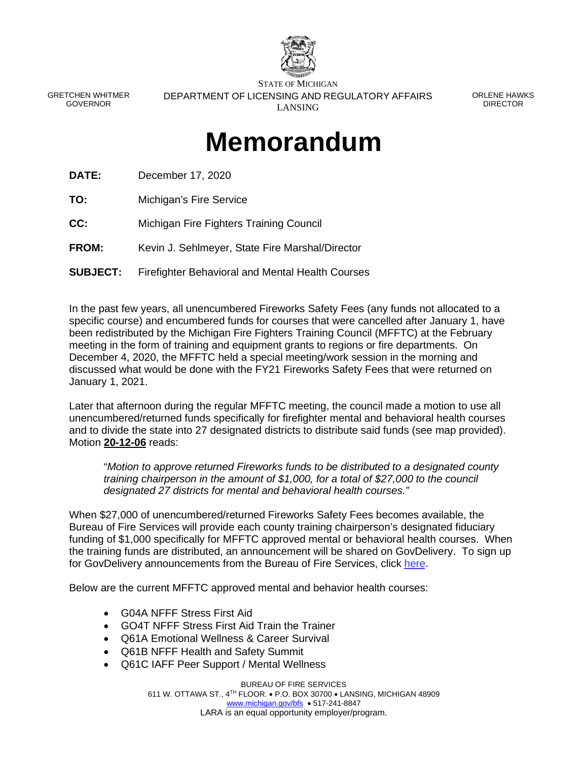

GRETCHEN WHITMER GOVERNOR

STATE OF MICHIGAN DEPARTMENT OF LICENSING AND REGULATORY AFFAIRS LANSING

ORLENE HAWKS DIRECTOR

## **Memorandum**

**DATE:** December 17, 2020

**TO:** Michigan's Fire Service

**CC:** Michigan Fire Fighters Training Council

**FROM:** Kevin J. Sehlmeyer, State Fire Marshal/Director

**SUBJECT:** Firefighter Behavioral and Mental Health Courses

In the past few years, all unencumbered Fireworks Safety Fees (any funds not allocated to a specific course) and encumbered funds for courses that were cancelled after January 1, have been redistributed by the Michigan Fire Fighters Training Council (MFFTC) at the February meeting in the form of training and equipment grants to regions or fire departments. On December 4, 2020, the MFFTC held a special meeting/work session in the morning and discussed what would be done with the FY21 Fireworks Safety Fees that were returned on January 1, 2021.

Later that afternoon during the regular MFFTC meeting, the council made a motion to use all unencumbered/returned funds specifically for firefighter mental and behavioral health courses and to divide the state into 27 designated districts to distribute said funds (see map provided). Motion **20-12-06** reads:

"*Motion to approve returned Fireworks funds to be distributed to a designated county training chairperson in the amount of \$1,000, for a total of \$27,000 to the council designated 27 districts for mental and behavioral health courses."* 

When \$27,000 of unencumbered/returned Fireworks Safety Fees becomes available, the Bureau of Fire Services will provide each county training chairperson's designated fiduciary funding of \$1,000 specifically for MFFTC approved mental or behavioral health courses. When the training funds are distributed, an announcement will be shared on GovDelivery. To sign up for GovDelivery announcements from the Bureau of Fire Services, click [here.](https://public.govdelivery.com/accounts/MILARA/subscriber/new?qsp=MILARA_4)

Below are the current MFFTC approved mental and behavior health courses:

- G04A NFFF Stress First Aid
- GO4T NFFF Stress First Aid Train the Trainer
- Q61A Emotional Wellness & Career Survival
- Q61B NFFF Health and Safety Summit
- Q61C IAFF Peer Support / Mental Wellness

BUREAU OF FIRE SERVICES 611 W. OTTAWA ST., 4TH FLOOR. P.O. BOX 30700 LANSING, MICHIGAN 48909 [www.michigan.gov/bfs](http://www.michigan.gov/bfs) • 517-241-8847 LARA is an equal opportunity employer/program.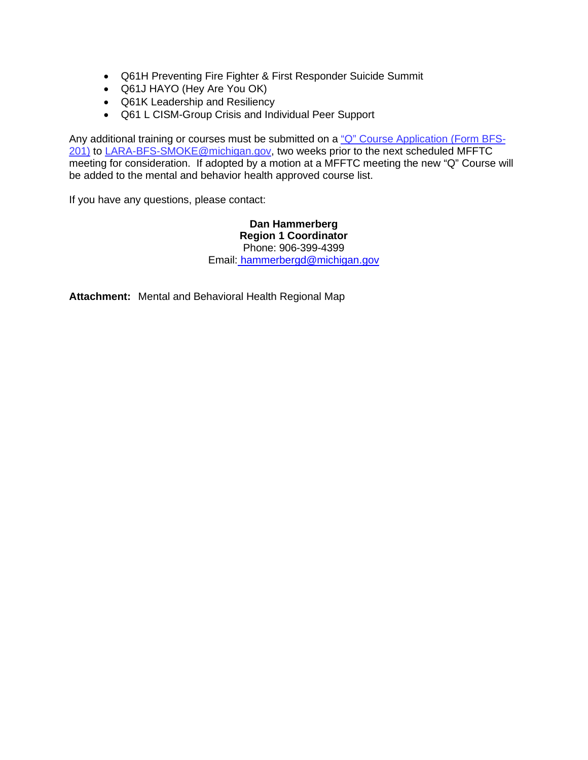- Q61H Preventing Fire Fighter & First Responder Suicide Summit
- Q61J HAYO (Hey Are You OK)
- Q61K Leadership and Resiliency
- Q61 L CISM-Group Crisis and Individual Peer Support

Any additional training or courses must be submitted on a ["Q" Course Application \(Form BFS-](https://www.michigan.gov/documents/lara/BFS-201_Q-Course_Application_Form_Rev._10-21-2020_706248_7.pdf)[201\)](https://www.michigan.gov/documents/lara/BFS-201_Q-Course_Application_Form_Rev._10-21-2020_706248_7.pdf) to LARA-BFS-SMOKE@michigan.gov, two weeks prior to the next scheduled MFFTC meeting for consideration. If adopted by a motion at a MFFTC meeting the new "Q" Course will be added to the mental and behavior health approved course list.

If you have any questions, please contact:

**Dan Hammerberg Region 1 Coordinator**  Phone: 906-399-4399 Email[: hammerbergd@michigan.gov](mailto:hammerbergd@michigan.gov)

**Attachment:** Mental and Behavioral Health Regional Map